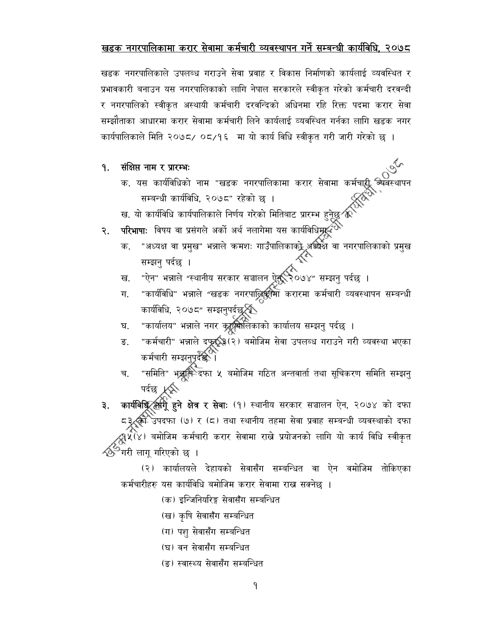### खडक नगरपालिकामा करार सेवामा कर्मचारी व्यवस्थापन गर्ने सम्बन्धी कार्यविधि. २०७८

खडक नगरपालिकाले उपलब्ध गराउने सेवा प्रवाह र विकास निर्माणको कार्यलाई व्यवस्थित र प्रभावकारी बनाउन यस नगरपालिकाको लागि नेपाल सरकारले स्वीकृत गरेको कर्मचारी दरवन्दी र नगरपालिको स्वीकृत अस्थायी कर्मचारी दरवन्दिको अधिनमा रहि रिक्त पदमा करार सेवा सम्झौताका आधारमा करार सेवामा कर्मचारी लिने कार्यलाई व्यवस्थित गर्नका लागि खडक नगर कार्यपालिकाले मिति २०७८/ ०८/१६ मा यो कार्य विधि स्वीकृत गरी जारी गरेको छ ।

- संक्षिप्त नाम र प्रारम्भः ۹.
	- क. यस कार्यविधिको नाम "खडक नगरपालिकामा करार सेवामा कर्मचारीू सम्बन्धी कार्यविधि, २०७८" रहेको छ ।
	- ख. यो कार्यविधि कार्यपालिकाले निर्णय गरेको मितिबाट प्रारम्भ हुनेछु १
- परिभाषाः विषय वा प्रसंगले अर्को अर्थ नलागेमा यस कार्यविधिमृद्भ २.
	- "अध्यक्ष वा प्रमुख" भन्नाले कमशः गाउँपालिकाको अध्यक्ष वा नगरपालिकाको प्रमुख<br>सम्बन पर्दछ । क. सम्झनु पर्दछ ।
	- "ऐन" भन्नाले "स्थानीय सरकार सञ्चालन ऐक् २०७४" सम्झनु पर्दछ । ख.
	- "कार्यविधि" भन्नाले "खडक नगरपाल्लिसीमा करारमा कर्मचारी व्यवस्थापन सम्बन्धी ग. कार्यविधि, २०७८" सम्झनुपर्दछ**्र**ेँ<br>"कार्यालय" भन्नाले नगर क्रुद्गुमोलिकाको कार्यालय सम्झनु पर्दछ ।
	- घ.
	- "कर्मचारी" भन्नाले दफूर् :(२) बमोजिम सेवा उपलब्ध गराउने गरी व्यवस्था भएका ङ. कर्मचारी सम्झनुपूर्दछ-।
	- "समिति" भूत्रात्मै दफा ५ बमोजिम गठित अन्तवार्ता तथा सूचिकरण समिति सम्झनु च.
- ३. कार्यविधि लगी हुने क्षेत्र र सेवाः (१) स्थानीय सरकार सञ्चालन ऐन, २०७४ को दफा ८३ की उपदफा (७) र (८) तथा स्थानीय तहमा सेवा प्रवाह सम्बन्धी व्यवस्थाको दफा ्र्<br>(४(४) बमोजिम कर्मचारी करार सेवामा राख्ने प्रयोजनको लागि यो कार्य विधि स्वीकृत <sup>'</sup>गरी लागू गरिएको छ ।

(२) कार्यालयले देहायको सेवासँग सम्बन्धित वा ऐन वमोजिम तोकिएका कर्मचारीहरु यस कार्यविधि बमोजिम करार सेवामा राख्न सक्नेछ ।

(क) इन्जिनियरिङ्ग सेवासँग सम्बन्धित

- (ख) कृषि सेवासँग सम्बन्धित
- (ग) पशु सेवासँग सम्बन्धित
- (घ) वन सेवासँग सम्बन्धित
- (ङ) स्वास्थ्य सेवासँग सम्बन्धित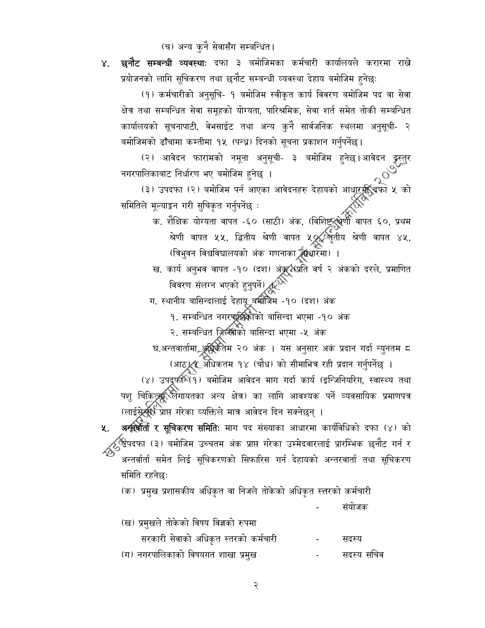(च) अन्य कुनै सेवासँग सम्बन्धित।

४. छनौट सम्बन्धी व्यवस्थाः दफा ३ बमोजिमका कर्मचारी कार्यालयले करारमा राखे प्रयोजनको लागि सूचिकरण तथा छनौट सम्बन्धी व्यवस्था देहाय बमोजिम हुनेछ:

(१) कर्मचारीको अनुसूचि- १ बमोजिम स्वीकृत कार्य विवरण बमोजिम पद वा सेवा क्षेत्र तथा सम्बन्धित सेवा समूहको योग्यता, पारिश्रमिक, सेवा शर्त समेत तोकी सम्बन्धित कार्यालयको सूचनापाटी, वेभसाईट तथा अन्य कुनै सार्वजनिक स्थलमा अनुसूची- २ बमोजिमको ढाँचामा कम्तीमा १५ (पन्ध्र) दिनको सूचना प्रकाशन गर्नुपर्नेछ।

(२) आवेदन फारामको नमूना अनुसूची- ३ बमोजिम हुनेछ।आवेदन दूस्तुर नगरपालिकाबाट निर्धारण भए बमोजिम हुनेछ ।

्<br>(३) उपदफा (२) बमोजिम पर्न आएका आवेदनहरु देहायको आधारफ्री उपा ५ को<br>ले मूल्याङ्कन गरी सुचिकृत गर्नुपर्नेछ : समितिले मूल्याङ्कन गरी सुचिकृत गर्नुपर्नेछ :

- क. शैक्षिक योग्यता वापत -६० (साठी) अंक, (विशिष्ट्रुश्लेणी वापत ६०, प्रथम)<br>- २०० श्रेणी वापत ५५, द्धितीय श्रेणी वापत ५०% लृतीय श्रेणी वापत ४५, (त्रिभुवन विश्वविद्यालयको अंक गणनाका क्विंधारमा) ।
- ख. कार्य अनुभव वापत -१० (दश) अंक्रूर्श्सप्रति वर्ष २ अंकको दरले, प्रमाणित<br>विवरण संलग्न भएको हुनुपर्ने) <sub>द्व</sub>र्थ

ग. स्थानीय बासिन्दालाई देहायू बम्पीजेम -१० (दश) अंक

१. सम्बन्धित नगरपूर्क्षिकाको बासिन्दा भएमा -१० अंक

२. सम्बन्धित जिल्लीको बासिन्दा भएमा -५ अंक

घ.अन्तवार्तामा अधिकतम २० अंक । यस अनुसार अकं प्रदान गर्दा न्युनतम ८ (आठ) (र अधिकतम १४ (चौध) को सीमाभित्र रही प्रदान गर्नुपर्नेछ ।

संयोजक

(४) उपदूफीरे(१) बमोजिम आवेदन माग गर्दा कार्य (इन्जिनियरिग, स्वास्थ्य तथा पशु चिकिट्स्स् लिगायतका अन्य क्षेत्र) का लागि आवश्यक पर्ने व्यवसायिक प्रमाणपत्र (लाईस्रेर्द्स्रे<sup>रि</sup>प्राप्त गरेका व्यक्तिले मात्र आवेदन दिन सक्नेछन् ।

अन्तर्वार्ता र सूचिकरण समितिः माग पद संख्याका आधारमा कार्यविधिको दफा (४) को 义. ्<br>उपदफा (३) बमोजिम उच्चतम अंक प्राप्त गरेका उम्मेदवारलाई प्रारम्भिक छनौट गर्न र अन्तर्वार्ता समेत लिई सूचिकरणको सिफारिस गर्न देहायको अन्तरवार्ता तथा सूचिकरण समिति रहनेछः

(क) प्रमुख प्रशासकीय अधिकृत वा निजले तोकेको अधिकृत स्त्तरको कर्मचारी

| (ख) प्रमुखले तोकेको विषय विज्ञको रुपमा |            |            |
|----------------------------------------|------------|------------|
| सरकारी सेवाको अधिकृत स्तरको कर्मचारी   | $\sim 100$ | सदस्य      |
| (ग) नगरपालिकाको विषयगत शाखा प्रमुख     |            | सदस्य सचिव |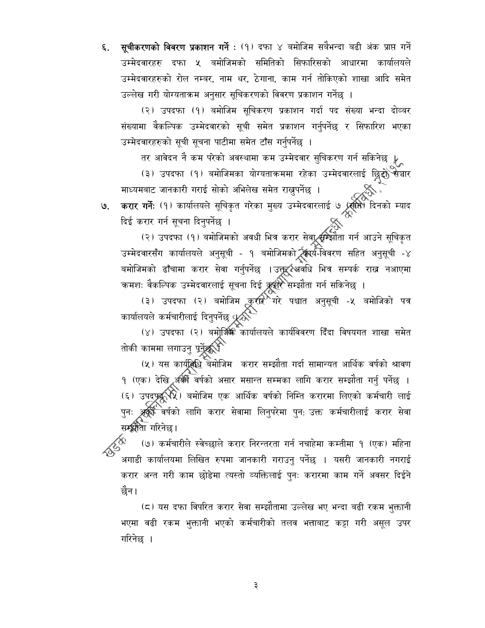६. सूचीकरणको विवरण प्रकाशन गर्ने : (१) दफा ४ बमोजिम सबैभन्दा बढी अंक प्राप्त गर्ने उम्मेदवारहरु दफा ५ बमोजिमको समितिको सिफारिसको आधारमा कार्यालयले उम्मेदवारहरुको रोल नम्बर, नाम थर, ठेगाना, काम गर्न तोकिएको शाखा आदि समेत उल्लेख गरी योग्यताक्रम अनुसार सूचिकरणको विवरण प्रकाशन गर्नेछ ।

(२) उपदफा (१) बमोजिम सूचिकरण प्रकाशन गर्दा पद संख्या भन्दा दोव्बर संख्यामा वैकल्पिक उम्मेदवारको सूची समेत प्रकाशन गर्नुपर्नेछ र सिफारिश भएका उम्मेदवारहरुको सूची सूचना पाटीमा समेत टाँस गर्नुपर्नेछ ।

तर आवेदन नै कम परेको अवस्थामा कम उम्मेदवार सुचिकरण गर्न सकिनेछ  $\downarrow_\infty$ 

(३) उपदफा (१) बमोजिमका योग्यताक्रममा रहेका उम्मेदवारलाई छ्रिद्दोे सञधार माध्यमबाट जानकारी गराई सोको अभिलेख समेत राख्नुपर्नेछ ।

करार गर्ने: (१) कार्यालयले सूचिकृत गरेका मुख्य उम्मेदवारलाई ७ (स्रोते) दिनको म्याद<br>दिई करार गर्न सूचना दिनुपर्नेछ । ७.

ल्सर गंग सूत्रगा ।दनुपंगछ ।<br>(२) उपदफा (१) बमोजिमको अवधी भित्र करार सेवार्द्स्म्झौता गर्न आउने सूचिकृत उम्मेदवारसँग कार्यालयले अनुसूची - १ बमोजिमकोर्ट्स्यिर्य-विवरण सहित अनुसूची -४ बमोजिमको ढाँचामा करार सेवा गर्नुपर्नेछ ।उक्तूर्दश्यवधि भित्र सम्पर्क राख नआएमा कमशः वैकल्पिक उम्मेदवारलाई सूचना दिई क्रूशरे सम्झौता गर्न सकिनेछ ।

(३) उपदफा (२) बमोजिम करार गरे पश्चात अनुसूची -५ बमोजिको पत्र<br>कार्यालयले कर्मचारीलाई दिनुपर्नेछ $\sqrt[4]{\lambda}$ 

(४) उपदफा (२) बमोूर्जिक कार्यालयले कार्यविवरण दिँदा विषयगत शाखा समेत तोकी काममा लगाउनु पर्नेू**ळ**्री

(५) यस कार्यूनिधि बेमोजिम करार सम्झौता गर्दा सामान्यत आर्थिक वर्षको श्रावण १ (एक) देखि अक्री वर्षको असार मसान्त सम्मका लागि करार सम्झौता गर्नु पर्नेछ । (६) उपदृष्ट्यूद्धि) बमोजिम एक आर्थिक वर्षको निम्ति करारमा लिएको कर्मचारी लाई पुनः अर्क्रे<sup>द्भ</sup>ेवर्षको लागि करार सेवामा लिनुपरेमा पुन: उक्त कर्मचारीलाई करार सेवा सम्झौता गरिनेछ।

(७) कर्मचारीले स्वेच्छाले करार निरन्तरता गर्न नचाहेमा कम्तीमा १ (एक) महिना अगाडी कार्यालयमा लिखित रुपमा जानकारी गराउनु पर्नेछ । यसरी जानकारी नगराई करार अन्त गरी काम छोडेमा त्यस्तो व्यक्तिलाई पुनः करारमा काम गर्ने अवसर दिईने छैन।

(८) यस दफा विपरित करार सेवा सम्झौतामा उल्लेख भए भन्दा बढी रकम भुक्तानी भएमा वढी रकम भुक्तानी भएको कर्मचारीको तलव भत्ताबाट कट्टा गरी असूल उपर गरिनेछ ।

 $\vec{z}$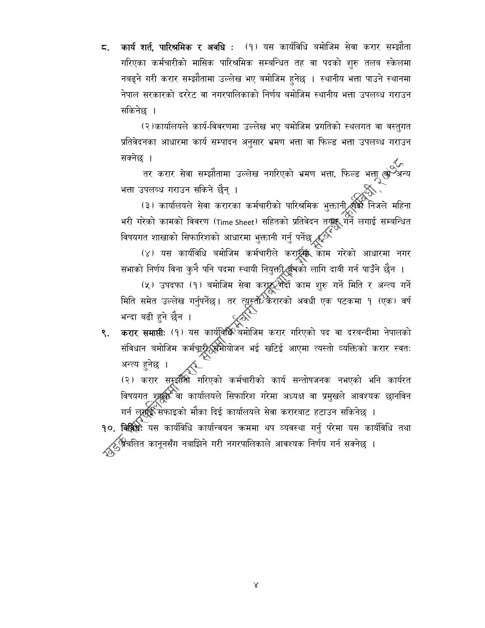5. कार्य शर्त, पारिश्रमिक र अवधि : (१) यस कार्यविधि बमोजिम सेवा करार सम्झौता गरिएका कर्मचारीको मासिक पारिश्रमिक सम्बन्धित तह वा पदको शुरु तलब स्केलमा नबढ्ने गरी करार सम्झौतामा उल्लेख भए बमोजिम हुनेछ । स्थानीय भत्ता पाउने स्थानमा नेपाल सरकारको दररेट वा नगरपालिकाको निर्णय बमोजिम स्थानीय भत्ता उपलब्ध गराउन सकिनेछ ।

(२)कार्यालयले कार्य-विवरणमा उल्लेख भए बमोजिम प्रगतिको स्थलगत वा वस्तुगत प्रतिवेदनका आधारमा कार्य सम्पादन अनुसार भ्रमण भत्ता वा फिल्ड भत्ता उपलब्ध गराउन सक्नेछ ।

तर करार सेवा सम्झौतामा उल्लेख नगरिएको भ्रमण भत्ता, फिल्ड भत्ता लो<sup>ं अन्य</sup> भत्ता उपलब्ध गराउन सकिने छैन् ।

उपलब्ध गराउन साकन छन् ।<br>(३) कार्यालयले सेवा करारका कर्मचारीको पारिश्रमिक भुक्तानी स्क्रि निजले महिना भरी गरेको कामको विवरण (Time Sheet) सहितको प्रतिवेदन तयुद्ध गर्ने लगाई सम्बन्धित<br>विषयगत शाखाको सिफारिशको आधारमा भुक्तानी गर्नु पर्नेछ रू<sup>ं (</sup><br>(४) यस कार्यविधि बमोजिम कर्मचारीले करार्द्र्या काम गरेको आधारमा नगर

सभाको निर्णय विना कुनै पनि पदमा स्थायी नियुक्त्रीर्द्धूत्रको लागि दाबी गर्न पाउँने छैन ।

(५) उपदफा (१) बमोजिम सेवा करार्द्ध्योदी काम शुरु गर्ने मिति र अन्त्य गर्ने<br>. 

करार समाप्तीः (१) यस कार्यविधि बमोजिम करार गरिएको पद वा दरबन्दीमा नेपालको ९. संविधान बमोजिम कर्मचारी समोयोजन भई खटिई आएमा त्यस्तो व्यक्तिको करार स्वतः<br>-अन्त्य हुनेछ ।

(२) करार सुम्र्झौँसी गरिएको कर्मचारीको कार्य सन्तोषजनक नभएको भनि कार्यरत विषयगत शुद्रविर्दे वा कार्यालयले सिफारिश गरेमा अध्यक्ष वा प्रमुखले आवश्यक छानविन गर्न लूमॉुई सेफाइको मौका दिई कार्यालयले सेवा करारबाट हटाउन सकिनेछ ।

90. विविधेः यस कार्यविधि कार्यान्वयन कममा थप व्यवस्था गर्नु परेमा यस कार्यविधि तथा <mark>्र</mark>ुञ्जिचलित कानूनसँग नबाझिने गरी नगरपालिकाले आवश्यक निर्णय गर्न सक्नेछ ।

 $\propto$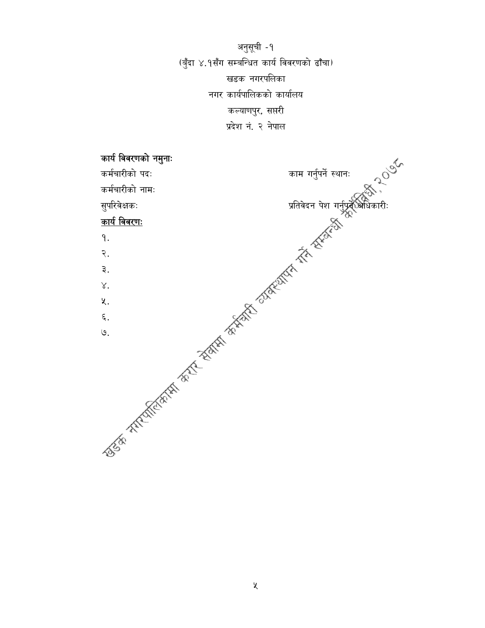अनुसूची -१ (बुँदा ४.१सँग सम्बन्धित कार्य विवरणको ढाँचा) खडक नगरपलिका नगर कार्यपालिकको कार्यालय कल्याणपुर, सप्तरी

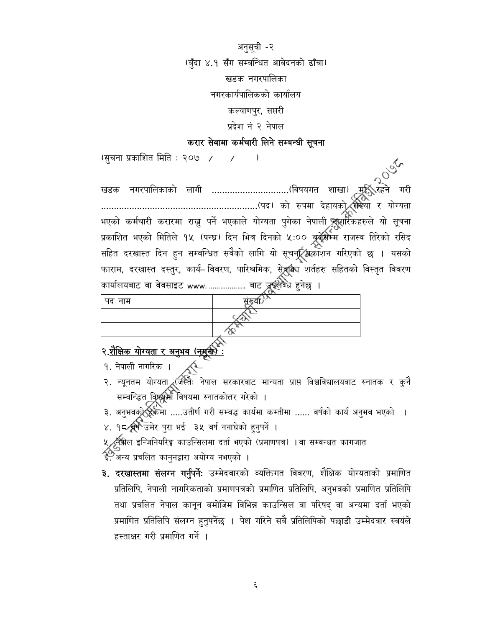अनुसूची -२ (बुँदा ४.१ सँग सम्बन्धित आवेदनको ढाँचा) खडक नगरपालिका नगरकार्यपालिकको कार्यालय कल्याणपुर, सप्तरी प्रदेश नं २ नेपाल

#### करार सेवामा कर्मचारी लिने सम्बन्धी सूचना

(सुचना प्रकाशित मिति : २०७ / / / ) भएको कर्मचारी करारमा राख्नु पर्ने भएकाले योग्यता पुगेका नेपाली क्लूसर्रिकहरुले यो सूचना प्रकाशित भएको मितिले १५ (पन्घ्र) दिन भित्र दिनको ५:०० ब्रुबूसिम्म राजस्व तिरेको रसिद सहित दरखास्त दिन हुन सम्वन्धित सवैको लागि यो सूचनूर्ट्स्न्जिकाशन गरिएको छ । यसको फाराम, दरखास्त दस्तुर, कार्य–विवरण, पारिश्रमिक, सेू**त्र्किं**ग शर्तहरु सहितको विस्तृत विवरण कार्यालयबाट वा वेवसाइट www. ................... बाट <del>द्रूपले</del>च्धे हुनेछ ।

| पद नाम | ----                            |
|--------|---------------------------------|
|        | <b><i><u>Instrument</u></i></b> |
|        |                                 |
|        |                                 |

# २.<u>शैक्षिक योग्यता र अनुभव (नुमुक्ती) :</u>

- १. नेपाली नागरिक $\pm$
- २. न्यूनतम योग्यता (जस्तैः नेपाल सरकारवाट मान्यता प्राप्त विश्वविद्यालयवाट स्नातक र कुनै सम्बन्द्धित विश्रश्रूमौ विषयमा स्नातकोत्तर गरेको ।
- ३. अनुभवकुर्ह्ह्रिकमा .....उतीर्ण गरी सम्बद्ध कार्यमा कम्तीमा ...... वर्षको कार्य अनुभव भएको ।
- ४. १८ वर्षे उमेर पुरा भई ३५ वर्ष ननाघेको हुनुपर्ने ।
- ५्रद्भृषील इन्जिनियरिङ्ग काउन्सिलमा दर्ता भएको (प्रमाणपत्र) ।वा सम्वन्धत कागजात
- द<br>- अन्य प्रचलित कानुनद्वारा अयोग्य नभएको ।
- ३. दरखास्तमा संलग्न गर्नुपर्नेः उम्मेदवारको व्यक्तिगत विवरण, शैक्षिक योग्यताको प्रमाणित प्रतिलिपि, नेपाली नागरिकताको प्रमाणपत्रको प्रमाणित प्रतिलिपि, अनुभवको प्रमाणित प्रतिलिपि तथा प्रचलित नेपाल कानून बमोजिम विभिन्न काउन्सिल वा परिषद् वा अन्यमा दर्ता भएको प्रमाणित प्रतिलिपि संलग्न हुनुपर्नेछ । पेश गरिने सबै प्रतिलिपिको पछाडी उम्मेदवार स्वयंले हस्ताक्षर गरी प्रमाणित गर्ने ।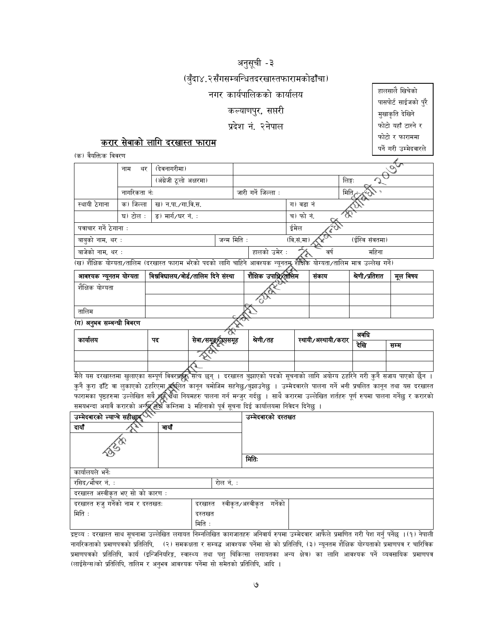## अनुसूची -३

#### (बुँदा४.२सँगसम्बन्धितदरखास्तफारामकोढाँचा)

#### नगर कार्यपालिकको कार्यालय

#### कल्याणपुर, सप्तरी

#### प्रदेश नं. २नेपाल

### करार सेवाको लागि दरखास्त फाराम

(क्र) वैयक्तिक विवरण

| $\mathcal{L}(\mathcal{A},\mathcal{A}) = \mathcal{L}(\mathcal{A},\mathcal{A}) = \mathcal{L}(\mathcal{A},\mathcal{A}) = \mathcal{L}(\mathcal{A},\mathcal{A}) = \mathcal{L}(\mathcal{A},\mathcal{A}) = \mathcal{L}(\mathcal{A},\mathcal{A}) = \mathcal{L}(\mathcal{A},\mathcal{A}) = \mathcal{L}(\mathcal{A},\mathcal{A}) = \mathcal{L}(\mathcal{A},\mathcal{A}) = \mathcal{L}(\mathcal{A},\mathcal{A}) = \mathcal{L}(\mathcal{A},\mathcal{A}) = \mathcal{L}(\mathcal{A$ |              |                         |             |  |                     |            |                |
|-----------------------------------------------------------------------------------------------------------------------------------------------------------------------------------------------------------------------------------------------------------------------------------------------------------------------------------------------------------------------------------------------------------------------------------------------------------------------|--------------|-------------------------|-------------|--|---------------------|------------|----------------|
|                                                                                                                                                                                                                                                                                                                                                                                                                                                                       | थर<br>नाम    | (देवनागरीमा)            |             |  |                     |            |                |
|                                                                                                                                                                                                                                                                                                                                                                                                                                                                       |              | (अंग्रेजी ठूलो अक्षरमा) |             |  |                     |            | लिङ्गः         |
|                                                                                                                                                                                                                                                                                                                                                                                                                                                                       | नागरिकता नंः |                         |             |  | जारी गर्ने जिल्ला : |            | मिति्र         |
| स्थायी ठेगाना                                                                                                                                                                                                                                                                                                                                                                                                                                                         | क) जिल्ला    | ख) न.पा./गा.वि.स.       |             |  |                     | ग) वडा नं  |                |
|                                                                                                                                                                                                                                                                                                                                                                                                                                                                       | घ) टोल :     | ड) मार्ग/घर नं. :       |             |  |                     | च) फो नं.  |                |
| पत्राचार गर्ने ठेगाना :                                                                                                                                                                                                                                                                                                                                                                                                                                               |              |                         |             |  |                     | ईमेल       |                |
| बाबुको नाम, थर :                                                                                                                                                                                                                                                                                                                                                                                                                                                      |              |                         | जन्म मिति : |  |                     | (वि.सं.मा) | (ईस्वि संवतमा) |
| बाजेको नाम, थर :                                                                                                                                                                                                                                                                                                                                                                                                                                                      |              |                         |             |  | हालको उमेर :        | वर्ष       | महिना          |
| (ख) शैक्षिक योग्यता/तालिम (दरखास्त फाराम भरेको पदको लागि चाहिने आवश्यक न्यूनतमू शैक्षिकै योग्यता/तालिम मात्र उल्लेख गर्ने)                                                                                                                                                                                                                                                                                                                                            |              |                         |             |  |                     |            |                |

| संकाय ∣ श्रेणी ∕प्रतिशत | मल विषय

|                          |        | . |  |
|--------------------------|--------|---|--|
| शैक्षिक योग्यता          |        |   |  |
|                          | æ.     |   |  |
| तालिम                    |        |   |  |
| (ग) अनुभव सम्बन्धी विवरण | $\sim$ |   |  |

| कायालय | पद | pro o<br>सेवा ∕समूह∕उउपसमूह | श्रेणी ∕तह | स्थायी/अस्थायी/करार | ञवाधे |      |
|--------|----|-----------------------------|------------|---------------------|-------|------|
|        |    |                             |            |                     | देखि  | सम्म |
|        |    |                             |            |                     |       |      |
|        |    |                             |            |                     |       |      |

.<br>मैले यस दरखास्तमा खुलाएका सम्पूर्ण विवरप्रहरू सत्य छन् । दरखास्त बुझाएको पदको सूचनाको लागि अयोग्य ठहरिने गरी कुनै सजाय पाएको छैन । कुनै कुरा ढाँटे वा लुकाएको ठहरिएमा अञ्चलित कानून बमोजिम सहनेछु /बुझाउनेछु । उम्मेदवारले पालना गर्ने भनी प्रचलित कानून तथा यस दरखास्त<br>फारामका पृष्ठहरुमा उल्लेखित सबै अति चैथा नियमहरु पालना गर्न मन्जुर गर्दछु । साथै करारमा

| ペイ<br>उम्मेदवारको ल्याप्चे सहीछाप्र |         | उम्मेदवारको दस्तखत |         |  |  |
|-------------------------------------|---------|--------------------|---------|--|--|
| दायौँ                               | बायौ    |                    |         |  |  |
| <b>DESCRIPTION</b>                  |         |                    |         |  |  |
|                                     |         |                    | मितिः   |  |  |
| कार्यालयले भर्नेः                   |         |                    |         |  |  |
| रसिद ∕भौचर नं. ∶                    |         | रोल नं. :          |         |  |  |
| दरखास्त अस्वीकृत भए सो को कारण :    |         |                    |         |  |  |
| दरखास्त रुजु गर्नेको नाम र दस्तखतः  | दरखास्त | स्वीकृत/अस्वीकृत   | गर्नेको |  |  |
| मिति:                               | दस्तखत  |                    |         |  |  |
|                                     | मिति :  |                    |         |  |  |

द्रष्टव्य : दरखास्त साथ सूचनामा उल्लेखित लगायत निम्नलिखित कागजातहरु अनिवार्य रुपमा उम्मेदवार आफैले प्रमाणित गरी पेश गर्नु पर्नेछ ।(१) नेपाली नागरिकताको प्रमाणपत्रको प्रतिलिपि, (२) समकक्षता र सम्बद्ध आवश्यक पर्नेमा सो को प्रतिलिपि, (३) न्यूनतम शैक्षिक योग्यताको प्रमाणपत्र र चारित्रिक प्रमाणपत्रको प्रतिलिपि, कार्य (इन्जिनियरिङ्ग, स्वास्थ्य तथा पशु चिकित्सा लगायतका अन्य क्षेत्र) का लागि आवश्यक पर्ने व्यवसायिक प्रमाणपत्र (लाईसेन्स)को प्रतिलिपि, तालिम र अनुभव आवश्यक पर्नेमा सो समेतको प्रतिलिपि, आदि ।

हालसालै खिचेको पासपोर्ट साईजको पुरै मुखाकृति देखिने फोटो यहाँ टास्ने र फोटो र फाराममा पर्ने गरी उम्मेदवारले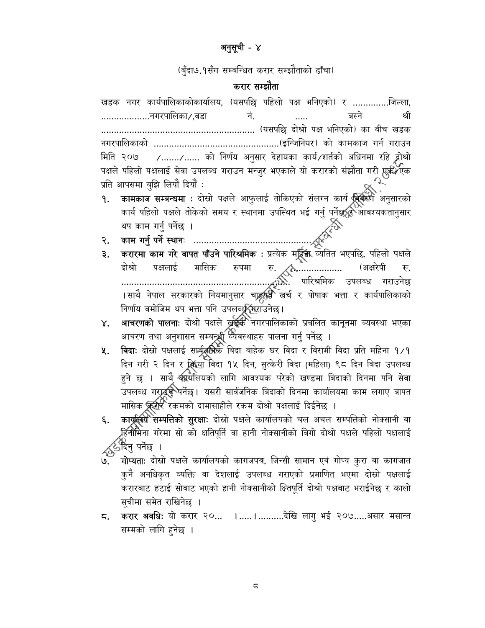#### अनुसूची - ४

(बुँदा७.१सँग सम्बन्धित करार सम्झौताको ढाँचा)

#### करार सम्झौता

खडक नगर कार्यपालिकाकोकार्यालय, (यसपछि पहिलो पक्ष भनिएको) र ..............जिल्ला, ...................नगरपालिका*/* ,वडा नं. बस्ने श्री मिति २०७ /......./...... को निर्णय अनुसार देहायका कार्य/शर्तको अधिनमा रहि द्वोश्रो पक्षले पहिलो पक्षलाई सेवा उपलब्ध गराउन मन्जुर भएकाले यो करारको संझौता गरी एक्के∕एक प्रति आपसमा बुझि लियों दियों :

- कामकाज सम्बन्धमा : दोस्रो पक्षले आफुलाई तोकिएको संलग्न कार्य क्रिकरणे अनुसारको ۹. कार्य पहिलो पक्षले तोकेको समय र स्थानमा उपस्थित भई गर्नु पुर्नेछ**्र**ेआवश्यकतानुसार
- 
- दोश्रो (अक्षरेपी रु. ं पारिश्रमिक उपलब्ध गराउनेछ ।साथै नेपाल सरकारको नियमानुसार चाड्रुर्षुर्व खर्च र पोषाक भत्ता र कार्यपालिकाको निर्णाय वमोजिम थप भत्ता पनि उपलब्धूर्युगराउनेछ।
- **आचरणको पालनाः** दोश्रो पक्षले ख्रुईक्वर्ेनगरपालिकाको प्रचलित कानूनमा ब्यवस्था भएका  $X_{\bullet}$ आचरण तथा अनुशासन सम्बन्ध्री व्यवस्थाहरु पालना गर्नु पर्नेछ ।
- विदाः दोस्रो पक्षलाई सार्ब्यूलीके बिदा बाहेक घर विदा र विरामी विदा प्रति महिना १/१ 义. दिन गरी २ दिन र किया विदा १५ दिन, सुत्केरी विदा (महिला) ९८ दिन बिदा उपलब्ध हुने छ । साथै कार्यालयको लागि आवश्यक परेको खण्डमा बिदाको दिनमा पनि सेवा उपलब्ध गराउस्फेपर्नेछ। यसरी सार्वजनिक बिदाको दिनमा कार्यालयमा काम लगाए बापत मासिक क्रोरोर्ेरकमको दामासाहीले रकम दोश्रो पक्षलाई दिईनेछ ।
- कार्य्रालय सम्पत्तिको सुरक्षाः दोस्रो पक्षले कार्यालयको चल अचल सम्पत्तिको नोक्सानी वा ६. हिनीमिना गरेमा सो को क्षतिपूर्ति वा हानी नोक्सानीको बिगो दोश्रो पक्षले पहिलो पक्षलाई *र्दु*ीदेनु पर्नेछ ।
- गोप्यताः दोस्रो पक्षले कार्यालयको कागजपत्र, जिन्सी सामान एवं गोप्य कुरा वा कागजात कुने अनधिकृत व्यक्ति वा देशलाई उपलब्ध गराएको प्रमाणित भएमा दोस्रो पक्षलाई करारबाट हटाई सोबाट भएको हानी नोक्सानीको क्ष्तिपूर्ति दोश्रो पक्षबाट भराईनेछ र कालो सूचीमा समेत राखिनेछ ।
- 5. करार अवधिः यो करार २०... ।.....।...........देखि लागु भई २०७.....असार मसान्त सम्मको लागि हुनेछ ।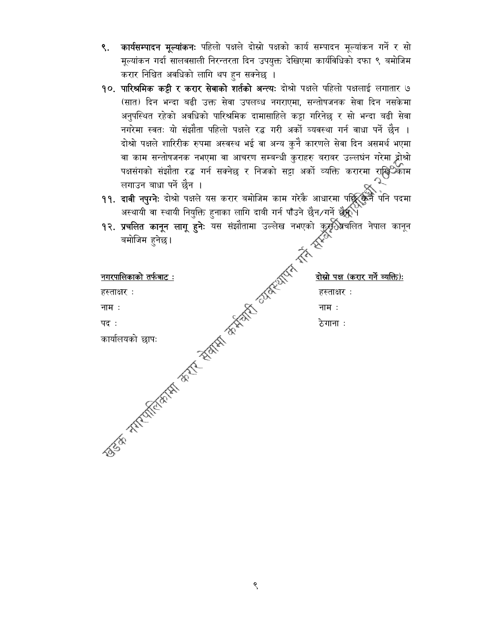- ९. कार्यसम्पादन मूल्यांकनः पहिलो पक्षले दोस्रो पक्षको कार्य सम्पादन मूल्यांकन गर्ने र सो मूल्यांकन गर्दा सालवसाली निरन्तरता दिन उपयुक्त देखिएमा कार्यविधिको दफा ९ बमोजिम करार निश्चित अवधिको लागि थप हुन सक्नेछ ।
- १०. पारिश्रमिक कट्टी र करार सेवाको शर्तको अन्त्यः दोश्रो पक्षले पहिलो पक्षलाई लगातार ७ (सात) दिन भन्दा बढी उक्त सेवा उपलब्ध नगराएमा, सन्तोषजनक सेवा दिन नसकेमा अनुपस्थित रहेको अवधिको पारिश्रमिक दामासाहिले कट्टा गरिनेछ र सो भन्दा बढी सेवा नगरेमा स्वतः यो संझौता पहिलो पक्षले रद्ध गरी अर्को ब्यवस्था गर्न वाधा पर्ने छैन । दोश्रो पक्षले शारिरीक रुपमा अस्वस्थ भई वा अन्य कुनै कारणले सेवा दिन असमर्थ भएमा वा काम सन्तोषजनक नभएमा वा आचरण सम्बन्धी कुराहरु बराबर उल्लघंन गरेमा होश्रो पक्षसंगको संझौता रद्ध गर्न सक्नेछ र निजको सट्टा अर्को व्यक्ति करारमा राखि<sup>0</sup>काम लगाउन बाधा पर्ने छैन ।
- ११. दावी नपुग्नेः दोश्रो पक्षले यस करार बमोजिम काम गरेकै आधारमा पछि कुनै पनि पदमा<br>अस्थायी वा स्थायी निगन्नि वज्ञाना जाफि गाफि का की नहीं है के नदी और परिष अस्थायी वा स्थायी नियुक्ति हुनाका लागि दाबी गर्न पाँउने छैन/गर्ने **छैन्**\
- १२. प्रचलित कानून लागू हुनेः यस संझौतामा उल्लेख नभएको कुर्यूरे प्रचलित नेपाल कानून बमोजिम हुनेछ।

|                                                                | तोस्रो पक्ष (करार गर्ने व्यक्ति): |  |
|----------------------------------------------------------------|-----------------------------------|--|
|                                                                | हस्ताक्षर:                        |  |
|                                                                | नाम:                              |  |
|                                                                | ठेगाना :                          |  |
|                                                                |                                   |  |
| For the direction of the state of the state of the contract of |                                   |  |

९